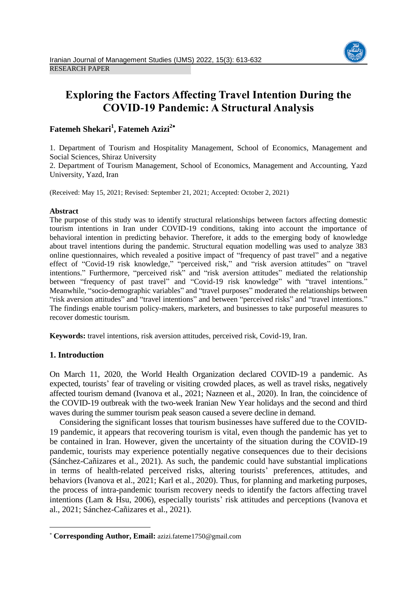

# **Exploring the Factors Affecting Travel Intention During the COVID-19 Pandemic: A Structural Analysis**

# **Fatemeh Shekari<sup>1</sup> , Fatemeh Azizi<sup>2</sup>**

1. Department of Tourism and Hospitality Management, School of Economics, Management and Social Sciences, Shiraz University

2. Department of Tourism Management, School of Economics, Management and Accounting, Yazd University, Yazd, Iran

(Received: May 15, 2021; Revised: September 21, 2021; Accepted: October 2, 2021)

# **Abstract**

The purpose of this study was to identify structural relationships between factors affecting domestic tourism intentions in Iran under COVID-19 conditions, taking into account the importance of behavioral intention in predicting behavior. Therefore, it adds to the emerging body of knowledge about travel intentions during the pandemic. Structural equation modelling was used to analyze 383 online questionnaires, which revealed a positive impact of "frequency of past travel" and a negative effect of "Covid-19 risk knowledge," "perceived risk," and "risk aversion attitudes" on "travel intentions." Furthermore, "perceived risk" and "risk aversion attitudes" mediated the relationship between "frequency of past travel" and "Covid-19 risk knowledge" with "travel intentions." Meanwhile, "socio-demographic variables" and "travel purposes" moderated the relationships between "risk aversion attitudes" and "travel intentions" and between "perceived risks" and "travel intentions." The findings enable tourism policy-makers, marketers, and businesses to take purposeful measures to recover domestic tourism.

**Keywords:** travel intentions, risk aversion attitudes, perceived risk, Covid-19, Iran.

# **1. Introduction**

 $\overline{a}$ 

On March 11, 2020, the World Health Organization declared COVID-19 a pandemic. As expected, tourists' fear of traveling or visiting crowded places, as well as travel risks, negatively affected tourism demand (Ivanova et al., 2021; Nazneen et al., 2020). In Iran, the coincidence of the COVID-19 outbreak with the two-week Iranian New Year holidays and the second and third waves during the summer tourism peak season caused a severe decline in demand.

Considering the significant losses that tourism businesses have suffered due to the COVID-19 pandemic, it appears that recovering tourism is vital, even though the pandemic has yet to be contained in Iran. However, given the uncertainty of the situation during the COVID-19 pandemic, tourists may experience potentially negative consequences due to their decisions (Sánchez-Cañizares et al., 2021). As such, the pandemic could have substantial implications in terms of health-related perceived risks, altering tourists' preferences, attitudes, and behaviors (Ivanova et al., 2021; Karl et al., 2020). Thus, for planning and marketing purposes, the process of intra-pandemic tourism recovery needs to identify the factors affecting travel intentions (Lam & Hsu, 2006), especially tourists' risk attitudes and perceptions (Ivanova et al., 2021; Sánchez-Cañizares et al., 2021).

**Corresponding Author, Email:** azizi.fateme1750@gmail.com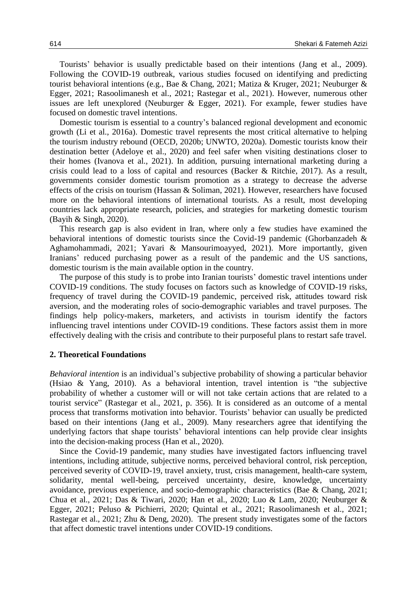Tourists' behavior is usually predictable based on their intentions (Jang et al., 2009). Following the COVID-19 outbreak, various studies focused on identifying and predicting tourist behavioral intentions (e.g., Bae & Chang, 2021; Matiza & Kruger, 2021; Neuburger & Egger, 2021; Rasoolimanesh et al., 2021; Rastegar et al., 2021). However, numerous other issues are left unexplored (Neuburger & Egger, 2021). For example, fewer studies have focused on domestic travel intentions.

Domestic tourism is essential to a country's balanced regional development and economic growth (Li et al., 2016a). Domestic travel represents the most critical alternative to helping the tourism industry rebound (OECD, 2020b; UNWTO, 2020a). Domestic tourists know their destination better (Adeloye et al., 2020) and feel safer when visiting destinations closer to their homes (Ivanova et al., 2021). In addition, pursuing international marketing during a crisis could lead to a loss of capital and resources (Backer & Ritchie, 2017). As a result, governments consider domestic tourism promotion as a strategy to decrease the adverse effects of the crisis on tourism (Hassan & Soliman, 2021). However, researchers have focused more on the behavioral intentions of international tourists. As a result, most developing countries lack appropriate research, policies, and strategies for marketing domestic tourism (Bayih & Singh, 2020).

This research gap is also evident in Iran, where only a few studies have examined the behavioral intentions of domestic tourists since the Covid-19 pandemic (Ghorbanzadeh & Aghamohammadi, 2021; Yavari & Mansourimoayyed, 2021). More importantly, given Iranians' reduced purchasing power as a result of the pandemic and the US sanctions, domestic tourism is the main available option in the country.

The purpose of this study is to probe into Iranian tourists' domestic travel intentions under COVID-19 conditions. The study focuses on factors such as knowledge of COVID-19 risks, frequency of travel during the COVID-19 pandemic, perceived risk, attitudes toward risk aversion, and the moderating roles of socio-demographic variables and travel purposes. The findings help policy-makers, marketers, and activists in tourism identify the factors influencing travel intentions under COVID-19 conditions. These factors assist them in more effectively dealing with the crisis and contribute to their purposeful plans to restart safe travel.

### **2. Theoretical Foundations**

*Behavioral intention* is an individual's subjective probability of showing a particular behavior (Hsiao & Yang, 2010). As a behavioral intention, travel intention is "the subjective probability of whether a customer will or will not take certain actions that are related to a tourist service" (Rastegar et al., 2021, p. 356). It is considered as an outcome of a mental process that transforms motivation into behavior. Tourists' behavior can usually be predicted based on their intentions (Jang et al., 2009). Many researchers agree that identifying the underlying factors that shape tourists' behavioral intentions can help provide clear insights into the decision-making process (Han et al., 2020).

Since the Covid-19 pandemic, many studies have investigated factors influencing travel intentions, including attitude, subjective norms, perceived behavioral control, risk perception, perceived severity of COVID-19, travel anxiety, trust, crisis management, health-care system, solidarity, mental well-being, perceived uncertainty, desire, knowledge, uncertainty avoidance, previous experience, and socio-demographic characteristics (Bae & Chang, 2021; Chua et al., 2021; Das & Tiwari, 2020; Han et al., 2020; Luo & Lam, 2020; Neuburger & Egger, 2021; Peluso & Pichierri, 2020; Quintal et al., 2021; Rasoolimanesh et al., 2021; Rastegar et al., 2021; Zhu & Deng, 2020). The present study investigates some of the factors that affect domestic travel intentions under COVID-19 conditions.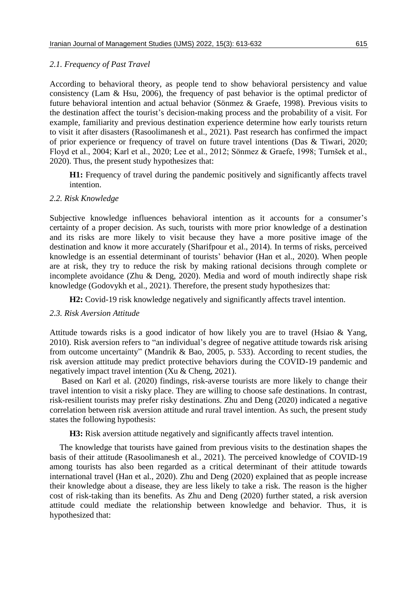# *2.1. Frequency of Past Travel*

According to behavioral theory, as people tend to show behavioral persistency and value consistency (Lam & Hsu, 2006), the frequency of past behavior is the optimal predictor of future behavioral intention and actual behavior (Sönmez & Graefe, 1998). Previous visits to the destination affect the tourist's decision-making process and the probability of a visit. For example, familiarity and previous destination experience determine how early tourists return to visit it after disasters (Rasoolimanesh et al., 2021). Past research has confirmed the impact of prior experience or frequency of travel on future travel intentions (Das & Tiwari, 2020; Floyd et al., 2004; Karl et al., 2020; Lee et al., 2012; Sönmez & Graefe, 1998; Turnšek et al., 2020). Thus, the present study hypothesizes that:

**H1:** Frequency of travel during the pandemic positively and significantly affects travel intention.

# *2.2. Risk Knowledge*

Subjective knowledge influences behavioral intention as it accounts for a consumer's certainty of a proper decision. As such, tourists with more prior knowledge of a destination and its risks are more likely to visit because they have a more positive image of the destination and know it more accurately (Sharifpour et al., 2014). In terms of risks, perceived knowledge is an essential determinant of tourists' behavior (Han et al., 2020). When people are at risk, they try to reduce the risk by making rational decisions through complete or incomplete avoidance (Zhu & Deng, 2020). Media and word of mouth indirectly shape risk knowledge (Godovykh et al., 2021). Therefore, the present study hypothesizes that:

**H2:** Covid-19 risk knowledge negatively and significantly affects travel intention.

# *2.3. Risk Aversion Attitude*

Attitude towards risks is a good indicator of how likely you are to travel (Hsiao & Yang, 2010). Risk aversion refers to "an individual's degree of negative attitude towards risk arising from outcome uncertainty" (Mandrik & Bao, 2005, p. 533). According to recent studies, the risk aversion attitude may predict protective behaviors during the COVID-19 pandemic and negatively impact travel intention (Xu & Cheng, 2021).

Based on Karl et al. (2020) findings, risk-averse tourists are more likely to change their travel intention to visit a risky place. They are willing to choose safe destinations. In contrast, risk-resilient tourists may prefer risky destinations. Zhu and Deng (2020) indicated a negative correlation between risk aversion attitude and rural travel intention. As such, the present study states the following hypothesis:

**H3:** Risk aversion attitude negatively and significantly affects travel intention.

The knowledge that tourists have gained from previous visits to the destination shapes the basis of their attitude (Rasoolimanesh et al., 2021). The perceived knowledge of COVID-19 among tourists has also been regarded as a critical determinant of their attitude towards international travel (Han et al., 2020). Zhu and Deng (2020) explained that as people increase their knowledge about a disease, they are less likely to take a risk. The reason is the higher cost of risk-taking than its benefits. As Zhu and Deng (2020) further stated, a risk aversion attitude could mediate the relationship between knowledge and behavior. Thus, it is hypothesized that: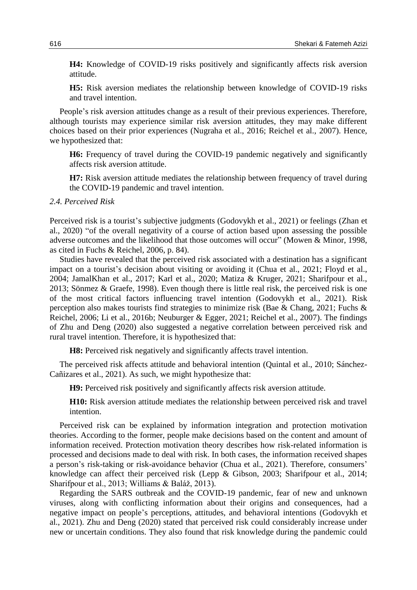**H4:** Knowledge of COVID-19 risks positively and significantly affects risk aversion attitude.

**H5:** Risk aversion mediates the relationship between knowledge of COVID-19 risks and travel intention.

People's risk aversion attitudes change as a result of their previous experiences. Therefore, although tourists may experience similar risk aversion attitudes, they may make different choices based on their prior experiences (Nugraha et al., 2016; Reichel et al., 2007). Hence, we hypothesized that:

**H6:** Frequency of travel during the COVID-19 pandemic negatively and significantly affects risk aversion attitude.

**H7:** Risk aversion attitude mediates the relationship between frequency of travel during the COVID-19 pandemic and travel intention.

#### *2.4. Perceived Risk*

Perceived risk is a tourist's subjective judgments (Godovykh et al., 2021) or feelings (Zhan et al., 2020) "of the overall negativity of a course of action based upon assessing the possible adverse outcomes and the likelihood that those outcomes will occur" (Mowen & Minor, 1998, as cited in Fuchs & Reichel, 2006, p. 84).

Studies have revealed that the perceived risk associated with a destination has a significant impact on a tourist's decision about visiting or avoiding it (Chua et al., 2021; Floyd et al., 2004; JamalKhan et al., 2017; Karl et al., 2020; Matiza & Kruger, 2021; Sharifpour et al., 2013; Sönmez & Graefe, 1998). Even though there is little real risk, the perceived risk is one of the most critical factors influencing travel intention (Godovykh et al., 2021). Risk perception also makes tourists find strategies to minimize risk (Bae & Chang, 2021; Fuchs & Reichel, 2006; Li et al., 2016b; Neuburger & Egger, 2021; Reichel et al., 2007). The findings of Zhu and Deng (2020) also suggested a negative correlation between perceived risk and rural travel intention. Therefore, it is hypothesized that:

**H8:** Perceived risk negatively and significantly affects travel intention.

The perceived risk affects attitude and behavioral intention (Quintal et al., 2010; Sánchez-Cañizares et al., 2021). As such, we might hypothesize that:

**H9:** Perceived risk positively and significantly affects risk aversion attitude.

**H10:** Risk aversion attitude mediates the relationship between perceived risk and travel intention.

Perceived risk can be explained by information integration and protection motivation theories. According to the former, people make decisions based on the content and amount of information received. Protection motivation theory describes how risk-related information is processed and decisions made to deal with risk. In both cases, the information received shapes a person's risk-taking or risk-avoidance behavior (Chua et al., 2021). Therefore, consumers' knowledge can affect their perceived risk (Lepp & Gibson, 2003; Sharifpour et al., 2014; Sharifpour et al., 2013; Williams & Baláž, 2013).

Regarding the SARS outbreak and the COVID-19 pandemic, fear of new and unknown viruses, along with conflicting information about their origins and consequences, had a negative impact on people's perceptions, attitudes, and behavioral intentions (Godovykh et al., 2021). Zhu and Deng (2020) stated that perceived risk could considerably increase under new or uncertain conditions. They also found that risk knowledge during the pandemic could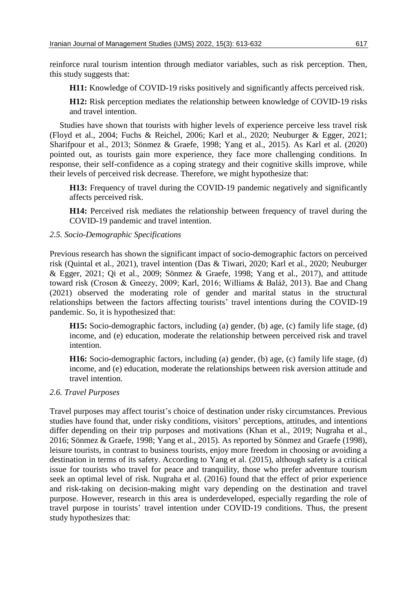reinforce rural tourism intention through mediator variables, such as risk perception. Then, this study suggests that:

**H11:** Knowledge of COVID-19 risks positively and significantly affects perceived risk.

**H12:** Risk perception mediates the relationship between knowledge of COVID-19 risks and travel intention.

Studies have shown that tourists with higher levels of experience perceive less travel risk (Floyd et al., 2004; Fuchs & Reichel, 2006; Karl et al., 2020; Neuburger & Egger, 2021; Sharifpour et al., 2013; Sönmez & Graefe, 1998; Yang et al., 2015). As Karl et al. (2020) pointed out, as tourists gain more experience, they face more challenging conditions. In response, their self-confidence as a coping strategy and their cognitive skills improve, while their levels of perceived risk decrease. Therefore, we might hypothesize that:

**H13:** Frequency of travel during the COVID-19 pandemic negatively and significantly affects perceived risk.

**H14:** Perceived risk mediates the relationship between frequency of travel during the COVID-19 pandemic and travel intention.

# *2.5. Socio-Demographic Specifications*

Previous research has shown the significant impact of socio-demographic factors on perceived risk (Quintal et al., 2021), travel intention (Das & Tiwari, 2020; Karl et al., 2020; Neuburger & Egger, 2021; Qi et al., 2009; Sönmez & Graefe, 1998; Yang et al., 2017), and attitude toward risk (Croson & Gneezy, 2009; Karl, 2016; Williams & Baláž, 2013). Bae and Chang (2021) observed the moderating role of gender and marital status in the structural relationships between the factors affecting tourists' travel intentions during the COVID-19 pandemic. So, it is hypothesized that:

**H15:** Socio-demographic factors, including (a) gender, (b) age, (c) family life stage, (d) income, and (e) education, moderate the relationship between perceived risk and travel intention.

**H16:** Socio-demographic factors, including (a) gender, (b) age, (c) family life stage, (d) income, and (e) education, moderate the relationships between risk aversion attitude and travel intention.

# *2.6. Travel Purposes*

Travel purposes may affect tourist's choice of destination under risky circumstances. Previous studies have found that, under risky conditions, visitors' perceptions, attitudes, and intentions differ depending on their trip purposes and motivations (Khan et al., 2019; Nugraha et al., 2016; Sönmez & Graefe, 1998; Yang et al., 2015). As reported by Sönmez and Graefe (1998), leisure tourists, in contrast to business tourists, enjoy more freedom in choosing or avoiding a destination in terms of its safety. According to Yang et al. (2015), although safety is a critical issue for tourists who travel for peace and tranquility, those who prefer adventure tourism seek an optimal level of risk. Nugraha et al. (2016) found that the effect of prior experience and risk-taking on decision-making might vary depending on the destination and travel purpose. However, research in this area is underdeveloped, especially regarding the role of travel purpose in tourists' travel intention under COVID-19 conditions. Thus, the present study hypothesizes that: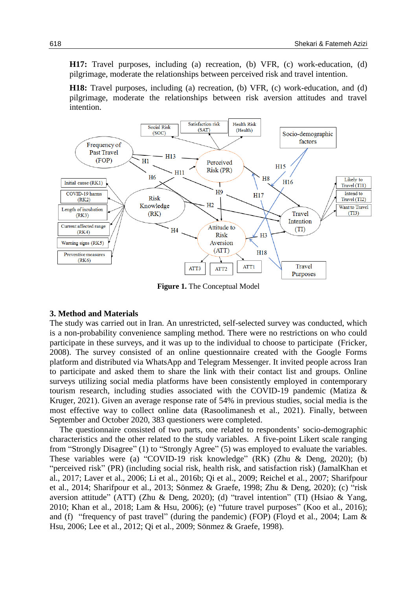**H17:** Travel purposes, including (a) recreation, (b) VFR, (c) work-education, (d) pilgrimage, moderate the relationships between perceived risk and travel intention.

**H18:** Travel purposes, including (a) recreation, (b) VFR, (c) work-education, and (d) pilgrimage, moderate the relationships between risk aversion attitudes and travel intention.



**Figure 1.** The Conceptual Model

# **3. Method and Materials**

The study was carried out in Iran. An unrestricted, self-selected survey was conducted, which is a non-probability convenience sampling method. There were no restrictions on who could participate in these surveys, and it was up to the individual to choose to participate (Fricker, 2008). The survey consisted of an online questionnaire created with the Google Forms platform and distributed via WhatsApp and Telegram Messenger. It invited people across Iran to participate and asked them to share the link with their contact list and groups. Online surveys utilizing social media platforms have been consistently employed in contemporary tourism research, including studies associated with the COVID-19 pandemic (Matiza & Kruger, 2021). Given an average response rate of 54% in previous studies, social media is the most effective way to collect online data (Rasoolimanesh et al., 2021). Finally, between September and October 2020, 383 questioners were completed.

The questionnaire consisted of two parts, one related to respondents' socio-demographic characteristics and the other related to the study variables. A five-point Likert scale ranging from "Strongly Disagree" (1) to "Strongly Agree" (5) was employed to evaluate the variables. These variables were (a) "COVID-19 risk knowledge" (RK) (Zhu & Deng, 2020); (b) "perceived risk" (PR) (including social risk, health risk, and satisfaction risk) (JamalKhan et al., 2017; Laver et al., 2006; Li et al., 2016b; Qi et al., 2009; Reichel et al., 2007; Sharifpour et al., 2014; Sharifpour et al., 2013; Sönmez & Graefe, 1998; Zhu & Deng, 2020); (c) "risk aversion attitude" (ATT) (Zhu & Deng, 2020); (d) "travel intention" (TI) (Hsiao & Yang, 2010; Khan et al., 2018; Lam & Hsu, 2006); (e) "future travel purposes" (Koo et al., 2016); and (f) "frequency of past travel" (during the pandemic) (FOP) (Floyd et al., 2004; Lam & Hsu, 2006; Lee et al., 2012; Qi et al., 2009; Sönmez & Graefe, 1998).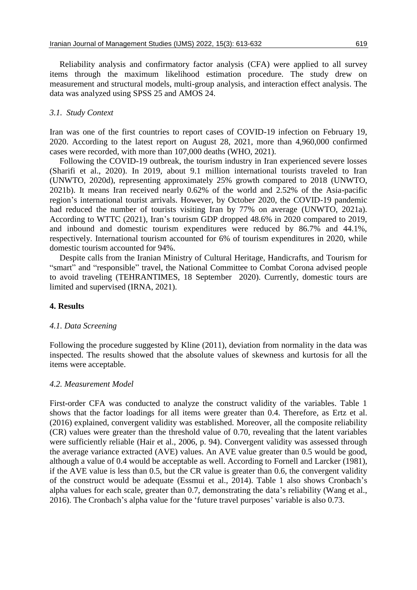Reliability analysis and confirmatory factor analysis (CFA) were applied to all survey items through the maximum likelihood estimation procedure. The study drew on measurement and structural models, multi-group analysis, and interaction effect analysis. The data was analyzed using SPSS 25 and AMOS 24.

# *3.1. Study Context*

Iran was one of the first countries to report cases of COVID-19 infection on February 19, 2020. According to the latest report on August 28, 2021, more than 4,960,000 confirmed cases were recorded, with more than 107,000 deaths (WHO, 2021).

Following the COVID-19 outbreak, the tourism industry in Iran experienced severe losses (Sharifi et al., 2020). In 2019, about 9.1 million international tourists traveled to Iran (UNWTO, 2020d), representing approximately 25% growth compared to 2018 (UNWTO, 2021b). It means Iran received nearly 0.62% of the world and 2.52% of the Asia-pacific region's international tourist arrivals. However, by October 2020, the COVID-19 pandemic had reduced the number of tourists visiting Iran by 77% on average (UNWTO, 2021a). According to WTTC (2021), Iran's tourism GDP dropped 48.6% in 2020 compared to 2019, and inbound and domestic tourism expenditures were reduced by 86.7% and 44.1%, respectively. International tourism accounted for 6% of tourism expenditures in 2020, while domestic tourism accounted for 94%.

Despite calls from the Iranian Ministry of Cultural Heritage, Handicrafts, and Tourism for "smart" and "responsible" travel, the National Committee to Combat Corona advised people to avoid traveling (TEHRANTIMES, 18 September 2020). Currently, domestic tours are limited and supervised (IRNA, 2021).

# **4. Results**

# *4.1. Data Screening*

Following the procedure suggested by Kline (2011), deviation from normality in the data was inspected. The results showed that the absolute values of skewness and kurtosis for all the items were acceptable.

# *4.2. Measurement Model*

First-order CFA was conducted to analyze the construct validity of the variables. Table 1 shows that the factor loadings for all items were greater than 0.4. Therefore, as Ertz et al. (2016) explained, convergent validity was established. Moreover, all the composite reliability (CR) values were greater than the threshold value of 0.70, revealing that the latent variables were sufficiently reliable (Hair et al., 2006, p. 94). Convergent validity was assessed through the average variance extracted (AVE) values. An AVE value greater than 0.5 would be good, although a value of 0.4 would be acceptable as well. According to Fornell and Larcker (1981), if the AVE value is less than 0.5, but the CR value is greater than 0.6, the convergent validity of the construct would be adequate (Essmui et al., 2014). Table 1 also shows Cronbach's alpha values for each scale, greater than 0.7, demonstrating the data's reliability (Wang et al., 2016). The Cronbach's alpha value for the 'future travel purposes' variable is also 0.73.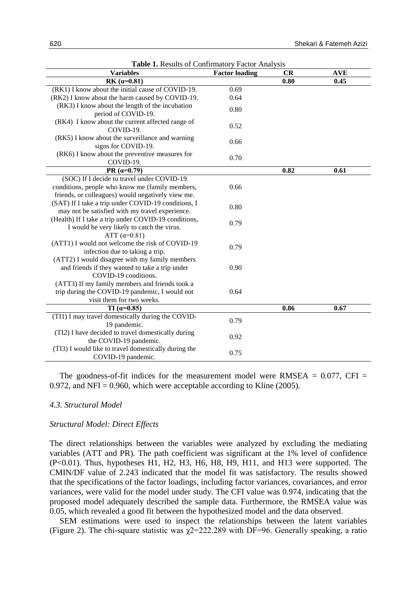| <b>Variables</b>                                                                   | <b>Factor loading</b> | <b>CR</b> | <b>AVE</b> |  |
|------------------------------------------------------------------------------------|-----------------------|-----------|------------|--|
| RK $(a=0.81)$                                                                      |                       | 0.80      | 0.45       |  |
| (RK1) I know about the initial cause of COVID-19.                                  | 0.69                  |           |            |  |
| (RK2) I know about the harm caused by COVID-19.                                    | 0.64                  |           |            |  |
| (RK3) I know about the length of the incubation                                    | 0.80                  |           |            |  |
| period of COVID-19.                                                                |                       |           |            |  |
| (RK4) I know about the current affected range of<br>COVID-19.                      | 0.52                  |           |            |  |
| (RK5) I know about the surveillance and warning<br>signs for COVID-19.             | 0.66                  |           |            |  |
| (RK6) I know about the preventive measures for<br>COVID-19.                        | 0.70                  |           |            |  |
| PR $(a=0.79)$                                                                      |                       | 0.82      | 0.61       |  |
| (SOC) If I decide to travel under COVID-19                                         |                       |           |            |  |
| conditions, people who know me (family members,                                    | 0.66                  |           |            |  |
| friends, or colleagues) would negatively view me.                                  |                       |           |            |  |
| (SAT) If I take a trip under COVID-19 conditions, I                                | 0.80                  |           |            |  |
| may not be satisfied with my travel experience.                                    |                       |           |            |  |
| (Health) If I take a trip under COVID-19 conditions,                               | 0.79                  |           |            |  |
| I would be very likely to catch the virus.                                         |                       |           |            |  |
| ATT $(\alpha = 0.81)$                                                              |                       |           |            |  |
| (ATT1) I would not welcome the risk of COVID-19<br>infection due to taking a trip. | 0.79                  |           |            |  |
| (ATT2) I would disagree with my family members                                     |                       |           |            |  |
| and friends if they wanted to take a trip under                                    | 0.90                  |           |            |  |
| COVID-19 conditions.                                                               |                       |           |            |  |
| (ATT3) If my family members and friends took a                                     |                       |           |            |  |
| trip during the COVID-19 pandemic, I would not                                     | 0.64                  |           |            |  |
| visit them for two weeks.                                                          |                       |           |            |  |
| TI $(a=0.85)$                                                                      |                       | 0.86      | 0.67       |  |
| (TI1) I may travel domestically during the COVID-                                  |                       |           |            |  |
| 19 pandemic.                                                                       | 0.79                  |           |            |  |
| (TI2) I have decided to travel domestically during                                 | 0.92                  |           |            |  |
| the COVID-19 pandemic.                                                             |                       |           |            |  |
| (TI3) I would like to travel domestically during the<br>COVID-19 pandemic.         | 0.75                  |           |            |  |

**Table 1.** Results of Confirmatory Factor Analysis

The goodness-of-fit indices for the measurement model were RMSEA  $= 0.077$ , CFI  $=$ 0.972, and NFI = 0.960, which were acceptable according to Kline (2005).

### *4.3. Structural Model*

#### *Structural Model: Direct Effects*

The direct relationships between the variables were analyzed by excluding the mediating variables (ATT and PR). The path coefficient was significant at the 1% level of confidence (P<0.01). Thus, hypotheses H1, H2, H3, H6, H8, H9, H11, and H13 were supported. The CMIN/DF value of 2.243 indicated that the model fit was satisfactory. The results showed that the specifications of the factor loadings, including factor variances, covariances, and error variances, were valid for the model under study. The CFI value was 0.974, indicating that the proposed model adequately described the sample data. Furthermore, the RMSEA value was 0.05, which revealed a good fit between the hypothesized model and the data observed.

SEM estimations were used to inspect the relationships between the latent variables (Figure 2). The chi-square statistic was  $\chi$ 2=222.289 with DF=96. Generally speaking, a ratio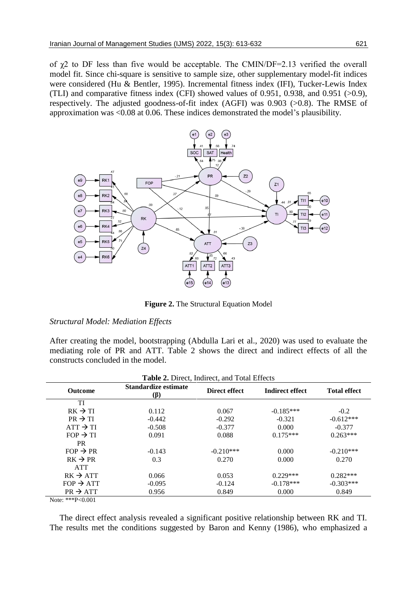of  $\chi$ 2 to DF less than five would be acceptable. The CMIN/DF=2.13 verified the overall model fit. Since chi-square is sensitive to sample size, other supplementary model-fit indices were considered (Hu & Bentler, 1995). Incremental fitness index (IFI), Tucker-Lewis Index (TLI) and comparative fitness index (CFI) showed values of 0.951, 0.938, and 0.951 (>0.9), respectively. The adjusted goodness-of-fit index (AGFI) was 0.903 (>0.8). The RMSE of approximation was <0.08 at 0.06. These indices demonstrated the model's plausibility.



**Figure 2.** The Structural Equation Model

### *Structural Model: Mediation Effects*

After creating the model, bootstrapping (Abdulla Lari et al., 2020) was used to evaluate the mediating role of PR and ATT. Table 2 shows the direct and indirect effects of all the constructs concluded in the model.

| Table 2. Direct, Indirect, and Total Effects |                             |               |                        |                     |  |  |
|----------------------------------------------|-----------------------------|---------------|------------------------|---------------------|--|--|
| <b>Outcome</b>                               | Standardize estimate<br>(ß) | Direct effect | <b>Indirect effect</b> | <b>Total effect</b> |  |  |
| TI                                           |                             |               |                        |                     |  |  |
| $RK \rightarrow TI$                          | 0.112                       | 0.067         | $-0.185***$            | $-0.2$              |  |  |
| $PR \rightarrow TI$                          | $-0.442$                    | $-0.292$      | $-0.321$               | $-0.612***$         |  |  |
| $ATT \rightarrow TI$                         | $-0.508$                    | $-0.377$      | 0.000                  | $-0.377$            |  |  |
| $FOP \rightarrow TI$                         | 0.091                       | 0.088         | $0.175***$             | $0.263***$          |  |  |
| <b>PR</b>                                    |                             |               |                        |                     |  |  |
| $FOP \rightarrow PR$                         | $-0.143$                    | $-0.210***$   | 0.000                  | $-0.210***$         |  |  |
| $RK \rightarrow PR$                          | 0.3                         | 0.270         | 0.000                  | 0.270               |  |  |
| <b>ATT</b>                                   |                             |               |                        |                     |  |  |
| $RK \rightarrow ATT$                         | 0.066                       | 0.053         | $0.229***$             | $0.282***$          |  |  |
| $FOP \rightarrow ATT$                        | $-0.095$                    | $-0.124$      | $-0.178***$            | $-0.303***$         |  |  |
| $PR \rightarrow ATT$                         | 0.956                       | 0.849         | 0.000                  | 0.849               |  |  |
|                                              |                             |               |                        |                     |  |  |

Note: \*\*\*P<0.001

The direct effect analysis revealed a significant positive relationship between RK and TI. The results met the conditions suggested by Baron and Kenny (1986), who emphasized a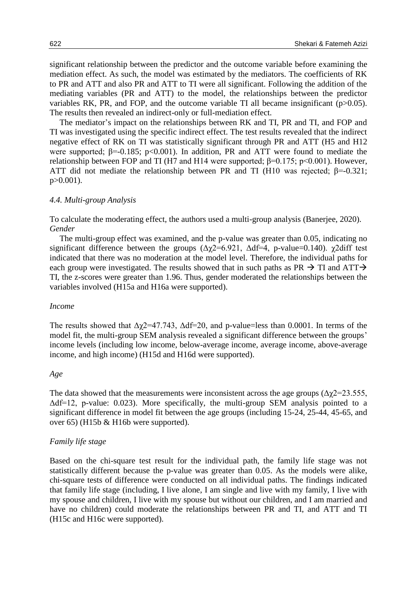significant relationship between the predictor and the outcome variable before examining the mediation effect. As such, the model was estimated by the mediators. The coefficients of RK to PR and ATT and also PR and ATT to TI were all significant. Following the addition of the mediating variables (PR and ATT) to the model, the relationships between the predictor variables RK, PR, and FOP, and the outcome variable TI all became insignificant (p>0.05). The results then revealed an indirect-only or full-mediation effect.

The mediator's impact on the relationships between RK and TI, PR and TI, and FOP and TI was investigated using the specific indirect effect. The test results revealed that the indirect negative effect of RK on TI was statistically significant through PR and ATT (H5 and H12 were supported;  $\beta$ =-0.185; p<0.001). In addition, PR and ATT were found to mediate the relationship between FOP and TI (H7 and H14 were supported;  $β=0.175$ ;  $p<0.001$ ). However, ATT did not mediate the relationship between PR and TI (H10 was rejected;  $\beta$ =-0.321; p>0.001).

### *4.4. Multi-group Analysis*

To calculate the moderating effect, the authors used a multi-group analysis (Banerjee, 2020). *Gender*

The multi-group effect was examined, and the p-value was greater than 0.05, indicating no significant difference between the groups  $(\Delta \chi/2=6.921, \Delta df=4, p-value=0.140)$ .  $\chi/2$ diff test indicated that there was no moderation at the model level. Therefore, the individual paths for each group were investigated. The results showed that in such paths as PR  $\rightarrow$  TI and ATT $\rightarrow$ TI, the z-scores were greater than 1.96. Thus, gender moderated the relationships between the variables involved (H15a and H16a were supported).

#### *Income*

The results showed that  $\Delta \chi$ 2=47.743,  $\Delta$ df=20, and p-value=less than 0.0001. In terms of the model fit, the multi-group SEM analysis revealed a significant difference between the groups' income levels (including low income, below-average income, average income, above-average income, and high income) (H15d and H16d were supported).

#### *Age*

The data showed that the measurements were inconsistent across the age groups  $(\Delta \chi/2=23.555,$ Δdf=12, p-value: 0.023). More specifically, the multi-group SEM analysis pointed to a significant difference in model fit between the age groups (including 15-24, 25-44, 45-65, and over 65) (H15b & H16b were supported).

# *Family life stage*

Based on the chi-square test result for the individual path, the family life stage was not statistically different because the p-value was greater than 0.05. As the models were alike, chi-square tests of difference were conducted on all individual paths. The findings indicated that family life stage (including, I live alone, I am single and live with my family, I live with my spouse and children, I live with my spouse but without our children, and I am married and have no children) could moderate the relationships between PR and TI, and ATT and TI (H15c and H16c were supported).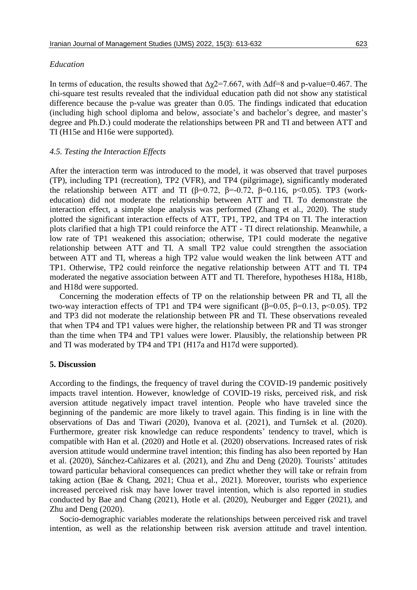#### *Education*

In terms of education, the results showed that  $\Delta \chi$ 2=7.667, with  $\Delta df=8$  and p-value=0.467. The chi-square test results revealed that the individual education path did not show any statistical difference because the p-value was greater than 0.05. The findings indicated that education (including high school diploma and below, associate's and bachelor's degree, and master's degree and Ph.D.) could moderate the relationships between PR and TI and between ATT and TI (H15e and H16e were supported).

### *4.5. Testing the Interaction Effects*

After the interaction term was introduced to the model, it was observed that travel purposes (TP), including TP1 (recreation), TP2 (VFR), and TP4 (pilgrimage), significantly moderated the relationship between ATT and TI ( $\beta$ =0.72,  $\beta$ =0.72,  $\beta$ =0.116, p<0.05). TP3 (workeducation) did not moderate the relationship between ATT and TI. To demonstrate the interaction effect, a simple slope analysis was performed (Zhang et al., 2020). The study plotted the significant interaction effects of ATT, TP1, TP2, and TP4 on TI. The interaction plots clarified that a high TP1 could reinforce the ATT - TI direct relationship. Meanwhile, a low rate of TP1 weakened this association; otherwise, TP1 could moderate the negative relationship between ATT and TI. A small TP2 value could strengthen the association between ATT and TI, whereas a high TP2 value would weaken the link between ATT and TP1. Otherwise, TP2 could reinforce the negative relationship between ATT and TI. TP4 moderated the negative association between ATT and TI. Therefore, hypotheses H18a, H18b, and H18d were supported.

Concerning the moderation effects of TP on the relationship between PR and TI, all the two-way interaction effects of TP1 and TP4 were significant (β=0.05, β=0.13, p<0.05). TP2 and TP3 did not moderate the relationship between PR and TI. These observations revealed that when TP4 and TP1 values were higher, the relationship between PR and TI was stronger than the time when TP4 and TP1 values were lower. Plausibly, the relationship between PR and TI was moderated by TP4 and TP1 (H17a and H17d were supported).

### **5. Discussion**

According to the findings, the frequency of travel during the COVID-19 pandemic positively impacts travel intention. However, knowledge of COVID-19 risks, perceived risk, and risk aversion attitude negatively impact travel intention. People who have traveled since the beginning of the pandemic are more likely to travel again. This finding is in line with the observations of Das and Tiwari (2020), Ivanova et al. (2021), and Turnšek et al. (2020). Furthermore, greater risk knowledge can reduce respondents' tendency to travel, which is compatible with Han et al. (2020) and Hotle et al. (2020) observations. Increased rates of risk aversion attitude would undermine travel intention; this finding has also been reported by Han et al. (2020), Sánchez-Cañizares et al. (2021), and Zhu and Deng (2020). Tourists' attitudes toward particular behavioral consequences can predict whether they will take or refrain from taking action (Bae & Chang, 2021; Chua et al., 2021). Moreover, tourists who experience increased perceived risk may have lower travel intention, which is also reported in studies conducted by Bae and Chang (2021), Hotle et al. (2020), Neuburger and Egger (2021), and Zhu and Deng (2020).

Socio-demographic variables moderate the relationships between perceived risk and travel intention, as well as the relationship between risk aversion attitude and travel intention.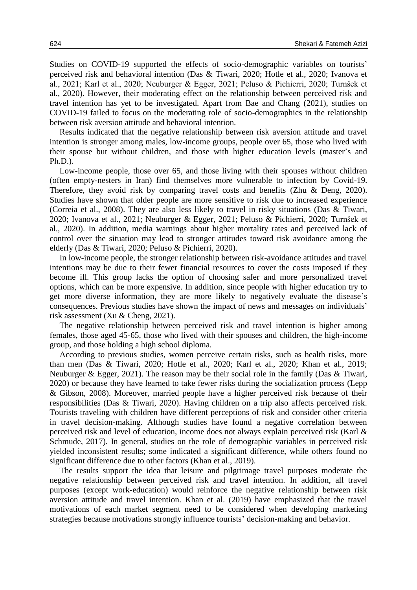Studies on COVID-19 supported the effects of socio-demographic variables on tourists' perceived risk and behavioral intention (Das & Tiwari, 2020; Hotle et al., 2020; Ivanova et al., 2021; Karl et al., 2020; Neuburger & Egger, 2021; Peluso & Pichierri, 2020; Turnšek et al., 2020). However, their moderating effect on the relationship between perceived risk and travel intention has yet to be investigated. Apart from Bae and Chang (2021), studies on COVID-19 failed to focus on the moderating role of socio-demographics in the relationship between risk aversion attitude and behavioral intention.

Results indicated that the negative relationship between risk aversion attitude and travel intention is stronger among males, low-income groups, people over 65, those who lived with their spouse but without children, and those with higher education levels (master's and Ph.D.).

Low-income people, those over 65, and those living with their spouses without children (often empty-nesters in Iran) find themselves more vulnerable to infection by Covid-19. Therefore, they avoid risk by comparing travel costs and benefits (Zhu & Deng, 2020). Studies have shown that older people are more sensitive to risk due to increased experience (Correia et al., 2008). They are also less likely to travel in risky situations (Das & Tiwari, 2020; Ivanova et al., 2021; Neuburger & Egger, 2021; Peluso & Pichierri, 2020; Turnšek et al., 2020). In addition, media warnings about higher mortality rates and perceived lack of control over the situation may lead to stronger attitudes toward risk avoidance among the elderly (Das & Tiwari, 2020; Peluso & Pichierri, 2020).

In low-income people, the stronger relationship between risk-avoidance attitudes and travel intentions may be due to their fewer financial resources to cover the costs imposed if they become ill. This group lacks the option of choosing safer and more personalized travel options, which can be more expensive. In addition, since people with higher education try to get more diverse information, they are more likely to negatively evaluate the disease's consequences. Previous studies have shown the impact of news and messages on individuals' risk assessment (Xu & Cheng, 2021).

The negative relationship between perceived risk and travel intention is higher among females, those aged 45-65, those who lived with their spouses and children, the high-income group, and those holding a high school diploma.

According to previous studies, women perceive certain risks, such as health risks, more than men (Das & Tiwari, 2020; Hotle et al., 2020; Karl et al., 2020; Khan et al., 2019; Neuburger & Egger, 2021). The reason may be their social role in the family (Das & Tiwari, 2020) or because they have learned to take fewer risks during the socialization process (Lepp & Gibson, 2008). Moreover, married people have a higher perceived risk because of their responsibilities (Das & Tiwari, 2020). Having children on a trip also affects perceived risk. Tourists traveling with children have different perceptions of risk and consider other criteria in travel decision-making. Although studies have found a negative correlation between perceived risk and level of education, income does not always explain perceived risk (Karl & Schmude, 2017). In general, studies on the role of demographic variables in perceived risk yielded inconsistent results; some indicated a significant difference, while others found no significant difference due to other factors (Khan et al., 2019).

The results support the idea that leisure and pilgrimage travel purposes moderate the negative relationship between perceived risk and travel intention. In addition, all travel purposes (except work-education) would reinforce the negative relationship between risk aversion attitude and travel intention. Khan et al. (2019) have emphasized that the travel motivations of each market segment need to be considered when developing marketing strategies because motivations strongly influence tourists' decision-making and behavior.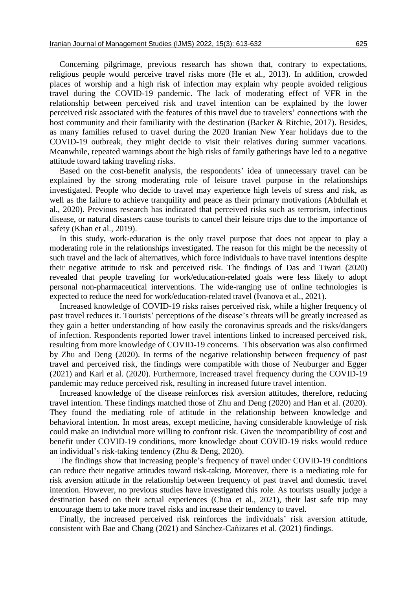Concerning pilgrimage, previous research has shown that, contrary to expectations, religious people would perceive travel risks more (He et al., 2013). In addition, crowded places of worship and a high risk of infection may explain why people avoided religious travel during the COVID-19 pandemic. The lack of moderating effect of VFR in the relationship between perceived risk and travel intention can be explained by the lower perceived risk associated with the features of this travel due to travelers' connections with the host community and their familiarity with the destination (Backer & Ritchie, 2017). Besides, as many families refused to travel during the 2020 Iranian New Year holidays due to the COVID-19 outbreak, they might decide to visit their relatives during summer vacations. Meanwhile, repeated warnings about the high risks of family gatherings have led to a negative attitude toward taking traveling risks.

Based on the cost-benefit analysis, the respondents' idea of unnecessary travel can be explained by the strong moderating role of leisure travel purpose in the relationships investigated. People who decide to travel may experience high levels of stress and risk, as well as the failure to achieve tranquility and peace as their primary motivations (Abdullah et al., 2020). Previous research has indicated that perceived risks such as terrorism, infectious disease, or natural disasters cause tourists to cancel their leisure trips due to the importance of safety (Khan et al., 2019).

In this study, work-education is the only travel purpose that does not appear to play a moderating role in the relationships investigated. The reason for this might be the necessity of such travel and the lack of alternatives, which force individuals to have travel intentions despite their negative attitude to risk and perceived risk. The findings of Das and Tiwari (2020) revealed that people traveling for work/education-related goals were less likely to adopt personal non-pharmaceutical interventions. The wide-ranging use of online technologies is expected to reduce the need for work/education-related travel (Ivanova et al., 2021).

Increased knowledge of COVID-19 risks raises perceived risk, while a higher frequency of past travel reduces it. Tourists' perceptions of the disease's threats will be greatly increased as they gain a better understanding of how easily the coronavirus spreads and the risks/dangers of infection. Respondents reported lower travel intentions linked to increased perceived risk, resulting from more knowledge of COVID-19 concerns. This observation was also confirmed by Zhu and Deng (2020). In terms of the negative relationship between frequency of past travel and perceived risk, the findings were compatible with those of Neuburger and Egger (2021) and Karl et al. (2020). Furthermore, increased travel frequency during the COVID-19 pandemic may reduce perceived risk, resulting in increased future travel intention.

Increased knowledge of the disease reinforces risk aversion attitudes, therefore, reducing travel intention. These findings matched those of Zhu and Deng (2020) and Han et al. (2020). They found the mediating role of attitude in the relationship between knowledge and behavioral intention. In most areas, except medicine, having considerable knowledge of risk could make an individual more willing to confront risk. Given the incompatibility of cost and benefit under COVID-19 conditions, more knowledge about COVID-19 risks would reduce an individual's risk-taking tendency (Zhu & Deng, 2020).

The findings show that increasing people's frequency of travel under COVID-19 conditions can reduce their negative attitudes toward risk-taking. Moreover, there is a mediating role for risk aversion attitude in the relationship between frequency of past travel and domestic travel intention. However, no previous studies have investigated this role. As tourists usually judge a destination based on their actual experiences (Chua et al., 2021), their last safe trip may encourage them to take more travel risks and increase their tendency to travel.

Finally, the increased perceived risk reinforces the individuals' risk aversion attitude, consistent with Bae and Chang (2021) and Sánchez-Cañizares et al. (2021) findings.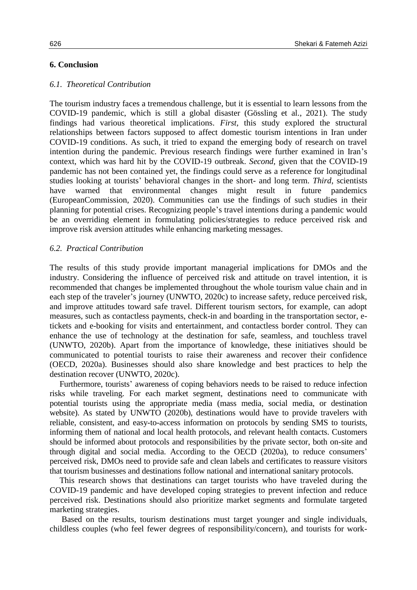# **6. Conclusion**

# *6.1. Theoretical Contribution*

The tourism industry faces a tremendous challenge, but it is essential to learn lessons from the COVID-19 pandemic, which is still a global disaster (Gössling et al., 2021). The study findings had various theoretical implications. *First*, this study explored the structural relationships between factors supposed to affect domestic tourism intentions in Iran under COVID-19 conditions. As such, it tried to expand the emerging body of research on travel intention during the pandemic. Previous research findings were further examined in Iran's context, which was hard hit by the COVID-19 outbreak. *Second*, given that the COVID-19 pandemic has not been contained yet, the findings could serve as a reference for longitudinal studies looking at tourists' behavioral changes in the short- and long term. *Third*, scientists have warned that environmental changes might result in future pandemics have warned that environmental changes might result in future pandemics (EuropeanCommission, 2020). Communities can use the findings of such studies in their planning for potential crises. Recognizing people's travel intentions during a pandemic would be an overriding element in formulating policies/strategies to reduce perceived risk and improve risk aversion attitudes while enhancing marketing messages.

# *6.2. Practical Contribution*

The results of this study provide important managerial implications for DMOs and the industry. Considering the influence of perceived risk and attitude on travel intention, it is recommended that changes be implemented throughout the whole tourism value chain and in each step of the traveler's journey (UNWTO, 2020c) to increase safety, reduce perceived risk, and improve attitudes toward safe travel. Different tourism sectors, for example, can adopt measures, such as contactless payments, check-in and boarding in the transportation sector, etickets and e-booking for visits and entertainment, and contactless border control. They can enhance the use of technology at the destination for safe, seamless, and touchless travel (UNWTO, 2020b). Apart from the importance of knowledge, these initiatives should be communicated to potential tourists to raise their awareness and recover their confidence (OECD, 2020a). Businesses should also share knowledge and best practices to help the destination recover (UNWTO, 2020c).

Furthermore, tourists' awareness of coping behaviors needs to be raised to reduce infection risks while traveling. For each market segment, destinations need to communicate with potential tourists using the appropriate media (mass media, social media, or destination website). As stated by UNWTO (2020b), destinations would have to provide travelers with reliable, consistent, and easy-to-access information on protocols by sending SMS to tourists, informing them of national and local health protocols, and relevant health contacts. Customers should be informed about protocols and responsibilities by the private sector, both on-site and through digital and social media. According to the OECD (2020a), to reduce consumers' perceived risk, DMOs need to provide safe and clean labels and certificates to reassure visitors that tourism businesses and destinations follow national and international sanitary protocols.

This research shows that destinations can target tourists who have traveled during the COVID-19 pandemic and have developed coping strategies to prevent infection and reduce perceived risk. Destinations should also prioritize market segments and formulate targeted marketing strategies.

Based on the results, tourism destinations must target younger and single individuals, childless couples (who feel fewer degrees of responsibility/concern), and tourists for work-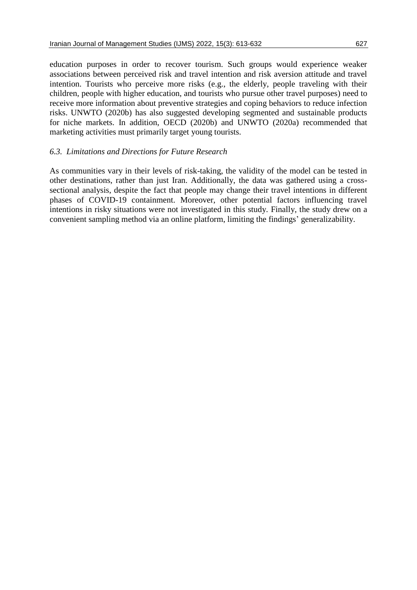education purposes in order to recover tourism. Such groups would experience weaker associations between perceived risk and travel intention and risk aversion attitude and travel intention. Tourists who perceive more risks (e.g., the elderly, people traveling with their children, people with higher education, and tourists who pursue other travel purposes) need to receive more information about preventive strategies and coping behaviors to reduce infection risks. UNWTO (2020b) has also suggested developing segmented and sustainable products for niche markets. In addition, OECD (2020b) and UNWTO (2020a) recommended that marketing activities must primarily target young tourists.

# *6.3. Limitations and Directions for Future Research*

As communities vary in their levels of risk-taking, the validity of the model can be tested in other destinations, rather than just Iran. Additionally, the data was gathered using a crosssectional analysis, despite the fact that people may change their travel intentions in different phases of COVID-19 containment. Moreover, other potential factors influencing travel intentions in risky situations were not investigated in this study. Finally, the study drew on a convenient sampling method via an online platform, limiting the findings' generalizability.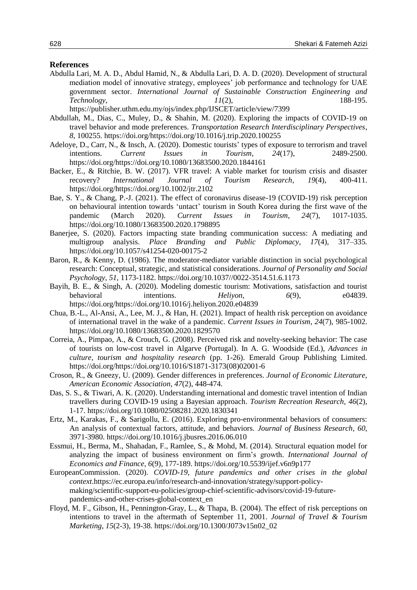#### **References**

Abdulla Lari, M. A. D., Abdul Hamid, N., & Abdulla Lari, D. A. D. (2020). Development of structural mediation model of innovative strategy, employees' job performance and technology for UAE government sector. *International Journal of Sustainable Construction Engineering and Technology*, *11*(2), 188-195.

https://publisher.uthm.edu.my/ojs/index.php/IJSCET/article/view/7399

- Abdullah, M., Dias, C., Muley, D., & Shahin, M. (2020). Exploring the impacts of COVID-19 on travel behavior and mode preferences. *Transportation Research Interdisciplinary Perspectives*, *8*, 100255. https://doi.org/https://doi.org/10.1016/j.trip.2020.100255
- Adeloye, D., Carr, N., & Insch, A. (2020). Domestic tourists' types of exposure to terrorism and travel intentions. *Current Issues in Tourism*, *24*(17), 2489-2500. https://doi.org/https://doi.org/10.1080/13683500.2020.1844161
- Backer, E., & Ritchie, B. W. (2017). VFR travel: A viable market for tourism crisis and disaster recovery? *International Journal of Tourism Research*, *19*(4), 400-411. https://doi.org/https://doi.org/10.1002/jtr.2102
- Bae, S. Y., & Chang, P.-J. (2021). The effect of coronavirus disease-19 (COVID-19) risk perception on behavioural intention towards 'untact' tourism in South Korea during the first wave of the pandemic (March 2020). *Current Issues in Tourism*, *24*(7), 1017-1035. https://doi.org/10.1080/13683500.2020.1798895
- Banerjee, S. (2020). Factors impacting state branding communication success: A mediating and multigroup analysis. *Place Branding and Public Diplomacy, 17*(4)*,* 317–335*.*  https://doi.org/10.1057/s41254-020-00175-2
- Baron, R., & Kenny, D. (1986). The moderator-mediator variable distinction in social psychological research: Conceptual, strategic, and statistical considerations. *Journal of Personality and Social Psychology*, *51*, 1173-1182. https://doi.org/10.1037//0022-3514.51.6.1173
- Bayih, B. E., & Singh, A. (2020). Modeling domestic tourism: Motivations, satisfaction and tourist behavioral intentions. *Heliyon*, 6(9), e04839. https://doi.org/https://doi.org/10.1016/j.heliyon.2020.e04839
- Chua, B.-L., Al-Ansi, A., Lee, M. J., & Han, H. (2021). Impact of health risk perception on avoidance of international travel in the wake of a pandemic. *Current Issues in Tourism*, *24*(7), 985-1002. https://doi.org/10.1080/13683500.2020.1829570
- Correia, A., Pimpao, A., & Crouch, G. (2008). Perceived risk and novelty-seeking behavior: The case of tourists on low-cost travel in Algarve (Portugal). In A. G. Woodside (Ed.), *Advances in culture, tourism and hospitality research* (pp. 1-26). Emerald Group Publishing Limited. https://doi.org/https://doi.org/10.1016/S1871-3173(08)02001-6
- Croson, R., & Gneezy, U. (2009). Gender differences in preferences. *Journal of Economic Literature, American Economic Association*, *47*(2), 448-474.
- Das, S. S., & Tiwari, A. K. (2020). Understanding international and domestic travel intention of Indian travellers during COVID-19 using a Bayesian approach. *Tourism Recreation Research*, *46*(2)*,* 1-17. https://doi.org/10.1080/02508281.2020.1830341
- Ertz, M., Karakas, F., & Sarigollu, E. (2016). Exploring pro-environmental behaviors of consumers: An analysis of contextual factors, attitude, and behaviors. *Journal of Business Research*, *60*, 3971-3980. https://doi.org/10.1016/j.jbusres.2016.06.010
- Essmui, H., Berma, M., Shahadan, F., Ramlee, S., & Mohd, M. (2014). Structural equation model for analyzing the impact of business environment on firm's growth. *International Journal of Economics and Finance*, *6*(9)*,* 177-189. https://doi.org/10.5539/ijef.v6n9p177
- EuropeanCommission. (2020). *COVID-19, future pandemics and other crises in the global context*.https://ec.europa.eu/info/research-and-innovation/strategy/support-policymaking/scientific-support-eu-policies/group-chief-scientific-advisors/covid-19-futurepandemics-and-other-crises-global-context\_en
- Floyd, M. F., Gibson, H., Pennington-Gray, L., & Thapa, B. (2004). The effect of risk perceptions on intentions to travel in the aftermath of September 11, 2001. *Journal of Travel & Tourism Marketing*, *15*(2-3), 19-38. https://doi.org/10.1300/J073v15n02\_02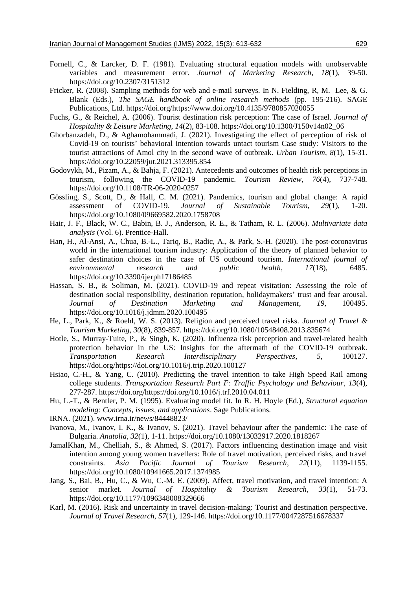- Fornell, C., & Larcker, D. F. (1981). Evaluating structural equation models with unobservable variables and measurement error. *Journal of Marketing Research*, *18*(1), 39-50. https://doi.org/10.2307/3151312
- Fricker, R. (2008). Sampling methods for web and e-mail surveys. In N. Fielding, R, M. Lee, & G. Blank (Eds.), *The SAGE handbook of online research methods* (pp. 195-216). SAGE Publications, Ltd. https://doi.org/https://www.doi.org/10.4135/9780857020055
- Fuchs, G., & Reichel, A. (2006). Tourist destination risk perception: The case of Israel. *Journal of Hospitality & Leisure Marketing*, *14*(2), 83-108. https://doi.org/10.1300/J150v14n02\_06
- Ghorbanzadeh, D., & Aghamohammadi, J. (2021). Investigating the effect of perception of risk of Covid-19 on tourists' behavioral intention towards untact tourism Case study: Visitors to the tourist attractions of Amol city in the second wave of outbreak. *Urban Tourism*, *8*(1), 15-31. https://doi.org/10.22059/jut.2021.313395.854
- Godovykh, M., Pizam, A., & Bahja, F. (2021). Antecedents and outcomes of health risk perceptions in tourism, following the COVID-19 pandemic. *Tourism Review, 76*(4), 737-748*.* https://doi.org/10.1108/TR-06-2020-0257
- Gössling, S., Scott, D., & Hall, C. M. (2021). Pandemics, tourism and global change: A rapid assessment of COVID-19. *Journal of Sustainable Tourism*, *29*(1), 1-20. https://doi.org/10.1080/09669582.2020.1758708
- Hair, J. F., Black, W. C., Babin, B. J., Anderson, R. E., & Tatham, R. L. (2006). *Multivariate data analysis* (Vol. 6). Prentice-Hall.
- Han, H., Al-Ansi, A., Chua, B.-L., Tariq, B., Radic, A., & Park, S.-H. (2020). The post-coronavirus world in the international tourism industry: Application of the theory of planned behavior to safer destination choices in the case of US outbound tourism. *International journal of environmental research and public health*, *17*(18), 6485. https://doi.org/10.3390/ijerph17186485
- Hassan, S. B., & Soliman, M. (2021). COVID-19 and repeat visitation: Assessing the role of destination social responsibility, destination reputation, holidaymakers' trust and fear arousal. *Journal of Destination Marketing and Management*, *19*, 100495. https://doi.org/10.1016/j.jdmm.2020.100495
- He, L., Park, K., & Roehl, W. S. (2013). Religion and perceived travel risks. *Journal of Travel & Tourism Marketing*, *30*(8), 839-857. https://doi.org/10.1080/10548408.2013.835674
- Hotle, S., Murray-Tuite, P., & Singh, K. (2020). Influenza risk perception and travel-related health protection behavior in the US: Insights for the aftermath of the COVID-19 outbreak. *Transportation Research Interdisciplinary Perspectives*, *5*, 100127. https://doi.org/https://doi.org/10.1016/j.trip.2020.100127
- Hsiao, C.-H., & Yang, C. (2010). Predicting the travel intention to take High Speed Rail among college students. *Transportation Research Part F: Traffic Psychology and Behaviour*, *13*(4), 277-287. https://doi.org/https://doi.org/10.1016/j.trf.2010.04.011
- Hu, L.-T., & Bentler, P. M. (1995). Evaluating model fit. In R. H. Hoyle (Ed.), *Structural equation modeling: Concepts, issues, and applications*. Sage Publications.
- IRNA. (2021). www.irna.ir/news/84448823/
- Ivanova, M., Ivanov, I. K., & Ivanov, S. (2021). Travel behaviour after the pandemic: The case of Bulgaria. *Anatolia*, *32*(1), 1-11. https://doi.org/10.1080/13032917.2020.1818267
- JamalKhan, M., Chelliah, S., & Ahmed, S. (2017). Factors influencing destination image and visit intention among young women travellers: Role of travel motivation, perceived risks, and travel constraints. *Asia Pacific Journal of Tourism Research*, *22*(11), 1139-1155. https://doi.org/10.1080/10941665.2017.1374985
- Jang, S., Bai, B., Hu, C., & Wu, C.-M. E. (2009). Affect, travel motivation, and travel intention: A senior market. *Journal of Hospitality & Tourism Research*, *33*(1), 51-73. https://doi.org/10.1177/1096348008329666
- Karl, M. (2016). Risk and uncertainty in travel decision-making: Tourist and destination perspective. *Journal of Travel Research*, *57*(1), 129-146. https://doi.org/10.1177/0047287516678337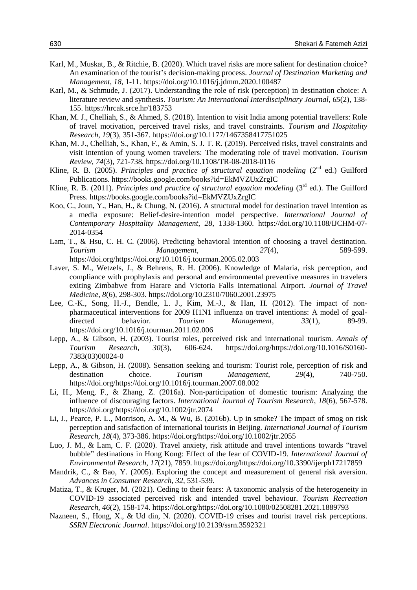- Karl, M., Muskat, B., & Ritchie, B. (2020). Which travel risks are more salient for destination choice? An examination of the tourist's decision-making process. *Journal of Destination Marketing and Management*, *18*, 1-11. https://doi.org/10.1016/j.jdmm.2020.100487
- Karl, M., & Schmude, J. (2017). Understanding the role of risk (perception) in destination choice: A literature review and synthesis. *Tourism: An International Interdisciplinary Journal*, *65*(2), 138- 155. https://hrcak.srce.hr/183753
- Khan, M. J., Chelliah, S., & Ahmed, S. (2018). Intention to visit India among potential travellers: Role of travel motivation, perceived travel risks, and travel constraints. *Tourism and Hospitality Research*, *19*(3), 351-367. https://doi.org/10.1177/1467358417751025
- Khan, M. J., Chelliah, S., Khan, F., & Amin, S. J. T. R. (2019). Perceived risks, travel constraints and visit intention of young women travelers: The moderating role of travel motivation. *Tourism Review, 74*(3), 721-738*.* https://doi.org/10.1108/TR-08-2018-0116
- Kline, R. B. (2005). *Principles and practice of structural equation modeling* (2<sup>nd</sup> ed.) Guilford Publications. https://books.google.com/books?id=EkMVZUxZrgIC
- Kline, R. B. (2011). *Principles and practice of structural equation modeling* (3<sup>rd</sup> ed.). The Guilford Press. https://books.google.com/books?id=EkMVZUxZrgIC
- Koo, C., Joun, Y., Han, H., & Chung, N. (2016). A structural model for destination travel intention as a media exposure: Belief-desire-intention model perspective. *International Journal of Contemporary Hospitality Management*, *28*, 1338-1360. https://doi.org/10.1108/IJCHM-07- 2014-0354
- Lam, T., & Hsu, C. H. C. (2006). Predicting behavioral intention of choosing a travel destination. *Tourism Management*, *27*(4), 589-599. https://doi.org/https://doi.org/10.1016/j.tourman.2005.02.003
- Laver, S. M., Wetzels, J., & Behrens, R. H. (2006). Knowledge of Malaria, risk perception, and compliance with prophylaxis and personal and environmental preventive measures in travelers exiting Zimbabwe from Harare and Victoria Falls International Airport. *Journal of Travel Medicine*, *8*(6), 298-303. https://doi.org/10.2310/7060.2001.23975
- Lee, C.-K., Song, H.-J., Bendle, L. J., Kim, M.-J., & Han, H. (2012). The impact of nonpharmaceutical interventions for 2009 H1N1 influenza on travel intentions: A model of goaldirected behavior. *Tourism Management*, *33*(1), 89-99. https://doi.org/10.1016/j.tourman.2011.02.006
- Lepp, A., & Gibson, H. (2003). Tourist roles, perceived risk and international tourism. *Annals of Tourism Research*, *30*(3), 606-624. https://doi.org/https://doi.org/10.1016/S0160- 7383(03)00024-0
- Lepp, A., & Gibson, H. (2008). Sensation seeking and tourism: Tourist role, perception of risk and destination choice. *Tourism Management*, *29*(4), 740-750. https://doi.org/https://doi.org/10.1016/j.tourman.2007.08.002
- Li, H., Meng, F., & Zhang, Z. (2016a). Non-participation of domestic tourism: Analyzing the influence of discouraging factors. *International Journal of Tourism Research*, *18*(6), 567-578. https://doi.org/https://doi.org/10.1002/jtr.2074
- Li, J., Pearce, P. L., Morrison, A. M., & Wu, B. (2016b). Up in smoke? The impact of smog on risk perception and satisfaction of international tourists in Beijing. *International Journal of Tourism Research*, *18*(4), 373-386. https://doi.org/https://doi.org/10.1002/jtr.2055
- Luo, J. M., & Lam, C. F. (2020). Travel anxiety, risk attitude and travel intentions towards "travel bubble" destinations in Hong Kong: Effect of the fear of COVID-19. *International Journal of Environmental Research*, *17*(21), 7859. https://doi.org/https://doi.org/10.3390/ijerph17217859
- Mandrik, C., & Bao, Y. (2005). Exploring the concept and measurement of general risk aversion. *Advances in Consumer Research*, *32*, 531-539.
- Matiza, T., & Kruger, M. (2021). Ceding to their fears: A taxonomic analysis of the heterogeneity in COVID-19 associated perceived risk and intended travel behaviour. *Tourism Recreation Research*, *46*(2), 158-174. https://doi.org/https://doi.org/10.1080/02508281.2021.1889793
- Nazneen, S., Hong, X., & Ud din, N. (2020). COVID-19 crises and tourist travel risk perceptions. *SSRN Electronic Journal*. https://doi.org/10.2139/ssrn.3592321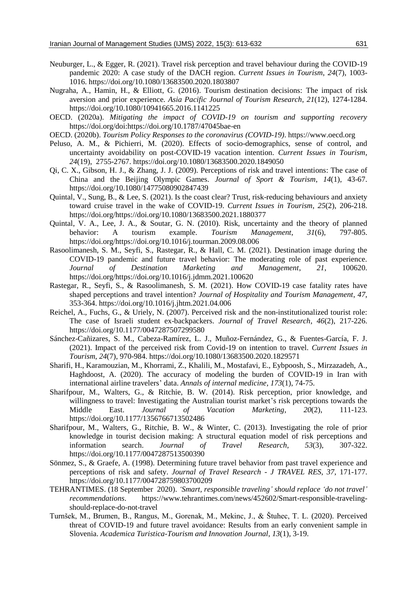- Neuburger, L., & Egger, R. (2021). Travel risk perception and travel behaviour during the COVID-19 pandemic 2020: A case study of the DACH region. *Current Issues in Tourism*, *24*(7), 1003- 1016. https://doi.org/10.1080/13683500.2020.1803807
- Nugraha, A., Hamin, H., & Elliott, G. (2016). Tourism destination decisions: The impact of risk aversion and prior experience. *Asia Pacific Journal of Tourism Research*, *21*(12), 1274-1284. https://doi.org/10.1080/10941665.2016.1141225
- OECD. (2020a). *Mitigating the impact of COVID-19 on tourism and supporting recovery* https://doi.org/doi:https://doi.org/10.1787/47045bae-en
- OECD. (2020b). *Tourism Policy Responses to the coronavirus (COVID-19)*. https://www.oecd.org
- Peluso, A. M., & Pichierri, M. (2020). Effects of socio-demographics, sense of control, and uncertainty avoidability on post-COVID-19 vacation intention. *Current Issues in Tourism*, *24*(19), 2755-2767. https://doi.org/10.1080/13683500.2020.1849050
- Qi, C. X., Gibson, H. J., & Zhang, J. J. (2009). Perceptions of risk and travel intentions: The case of China and the Beijing Olympic Games. *Journal of Sport & Tourism*, *14*(1), 43-67. https://doi.org/10.1080/14775080902847439
- Quintal, V., Sung, B., & Lee, S. (2021). Is the coast clear? Trust, risk-reducing behaviours and anxiety toward cruise travel in the wake of COVID-19. *Current Issues in Tourism*, *25*(2), 206-218. https://doi.org/https://doi.org/10.1080/13683500.2021.1880377
- Quintal, V. A., Lee, J. A., & Soutar, G. N. (2010). Risk, uncertainty and the theory of planned behavior: A tourism example. *Tourism Management*, *31*(6), 797-805. https://doi.org/https://doi.org/10.1016/j.tourman.2009.08.006
- Rasoolimanesh, S. M., Seyfi, S., Rastegar, R., & Hall, C. M. (2021). Destination image during the COVID-19 pandemic and future travel behavior: The moderating role of past experience. *Journal of Destination Marketing and Management*, *21*, 100620. https://doi.org/https://doi.org/10.1016/j.jdmm.2021.100620
- Rastegar, R., Seyfi, S., & Rasoolimanesh, S. M. (2021). How COVID-19 case fatality rates have shaped perceptions and travel intention? *Journal of Hospitality and Tourism Management*, *47*, 353-364. https://doi.org/10.1016/j.jhtm.2021.04.006
- Reichel, A., Fuchs, G., & Uriely, N. (2007). Perceived risk and the non-institutionalized tourist role: The case of Israeli student ex-backpackers. *Journal of Travel Research*, *46*(2), 217-226. https://doi.org/10.1177/0047287507299580
- Sánchez-Cañizares, S. M., Cabeza-Ramírez, L. J., Muñoz-Fernández, G., & Fuentes-García, F. J. (2021). Impact of the perceived risk from Covid-19 on intention to travel. *Current Issues in Tourism*, *24*(7), 970-984. https://doi.org/10.1080/13683500.2020.1829571
- Sharifi, H., Karamouzian, M., Khorrami, Z., Khalili, M., Mostafavi, E., Eybpoosh, S., Mirzazadeh, A., Haghdoost, A. (2020). The accuracy of modeling the burden of COVID-19 in Iran with international airline travelers' data. *Annals of internal medicine, 173*(1), 74-75.
- Sharifpour, M., Walters, G., & Ritchie, B. W. (2014). Risk perception, prior knowledge, and willingness to travel: Investigating the Australian tourist market's risk perceptions towards the Middle East. *Journal of Vacation Marketing*, *20*(2), 111-123. https://doi.org/10.1177/1356766713502486
- Sharifpour, M., Walters, G., Ritchie, B. W., & Winter, C. (2013). Investigating the role of prior knowledge in tourist decision making: A structural equation model of risk perceptions and information search. *Journal of Travel Research*, *53*(3), 307-322. https://doi.org/10.1177/0047287513500390
- Sönmez, S., & Graefe, A. (1998). Determining future travel behavior from past travel experience and perceptions of risk and safety. *Journal of Travel Research - J TRAVEL RES*, *37*, 171-177. https://doi.org/10.1177/004728759803700209
- TEHRANTIMES. (18 September 2020). *'Smart, responsible traveling' should replace 'do not travel' recommendations*. https://www.tehrantimes.com/news/452602/Smart-responsible-travelingshould-replace-do-not-travel
- Turnšek, M., Brumen, B., Rangus, M., Gorenak, M., Mekinc, J., & Štuhec, T. L. (2020). Perceived threat of COVID-19 and future travel avoidance: Results from an early convenient sample in Slovenia. *Academica Turistica-Tourism and Innovation Journal*, *13*(1), 3-19.